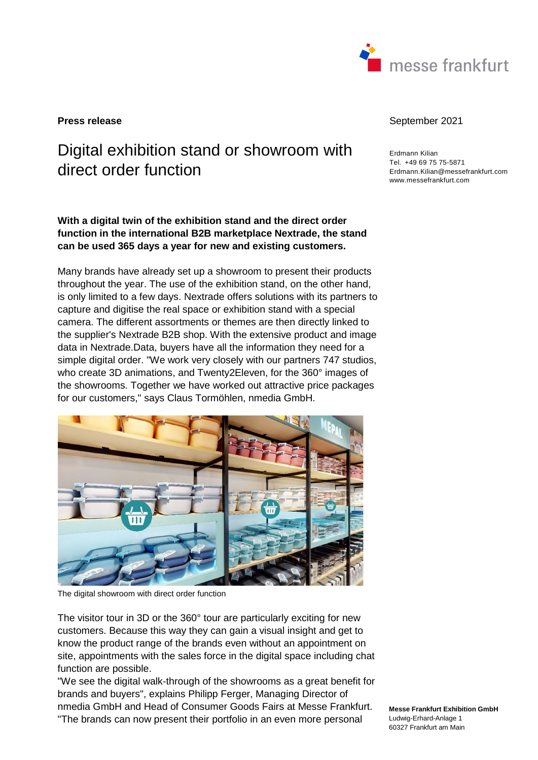

# Digital exhibition stand or showroom with direct order function

**With a digital twin of the exhibition stand and the direct order function in the international B2B marketplace Nextrade, the stand can be used 365 days a year for new and existing customers.** 

Many brands have already set up a showroom to present their products throughout the year. The use of the exhibition stand, on the other hand, is only limited to a few days. Nextrade offers solutions with its partners to capture and digitise the real space or exhibition stand with a special camera. The different assortments or themes are then directly linked to the supplier's Nextrade B2B shop. With the extensive product and image data in Nextrade.Data, buyers have all the information they need for a simple digital order. "We work very closely with our partners 747 studios, who create 3D animations, and Twenty2Eleven, for the 360° images of the showrooms. Together we have worked out attractive price packages for our customers," says Claus Tormöhlen, nmedia GmbH.



The digital showroom with direct order function

The visitor tour in 3D or the 360° tour are particularly exciting for new customers. Because this way they can gain a visual insight and get to know the product range of the brands even without an appointment on site, appointments with the sales force in the digital space including chat function are possible.

"We see the digital walk-through of the showrooms as a great benefit for brands and buyers", explains Philipp Ferger, Managing Director of nmedia GmbH and Head of Consumer Goods Fairs at Messe Frankfurt. "The brands can now present their portfolio in an even more personal

#### **Press release September 2021**

Erdmann Kilian Tel. +49 69 75 75-5871 Erdmann.Kilian@messefrankfurt.com www.messefrankfurt.com

**Messe Frankfurt Exhibition GmbH**  Ludwig-Erhard-Anlage 1 60327 Frankfurt am Main